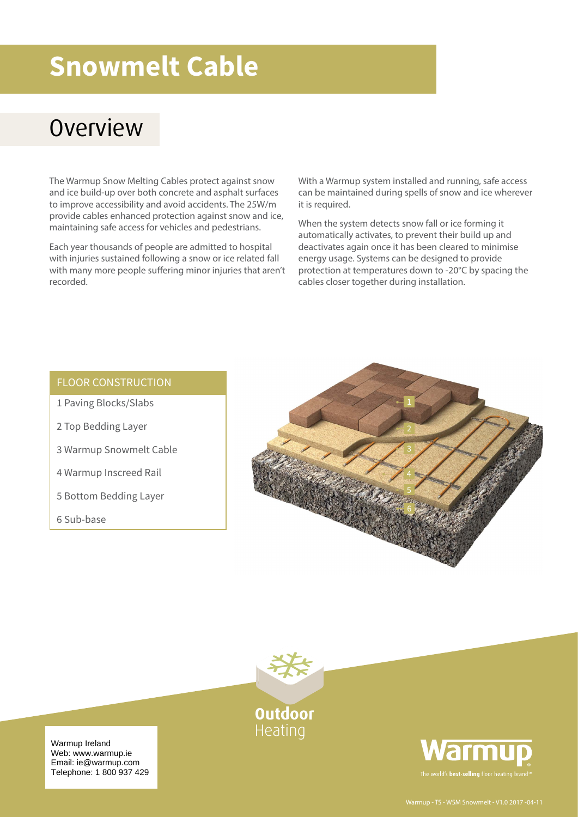# **Snowmelt Cable**

### **Overview**

The Warmup Snow Melting Cables protect against snow and ice build-up over both concrete and asphalt surfaces to improve accessibility and avoid accidents. The 25W/m provide cables enhanced protection against snow and ice, maintaining safe access for vehicles and pedestrians.

Each year thousands of people are admitted to hospital with injuries sustained following a snow or ice related fall with many more people suffering minor injuries that aren't recorded.

With a Warmup system installed and running, safe access can be maintained during spells of snow and ice wherever it is required.

When the system detects snow fall or ice forming it automatically activates, to prevent their build up and deactivates again once it has been cleared to minimise energy usage. Systems can be designed to provide protection at temperatures down to -20°C by spacing the cables closer together during installation.

#### FLOOR CONSTRUCTION

- 1 Paving Blocks/Slabs
- 2 Top Bedding Layer
- 3 Warmup Snowmelt Cable
- 4 Warmup Inscreed Rail
- 5 Bottom Bedding Layer
- 6 Sub-base





**Outdoor** Heating



Warmup Ireland web. www.warmup.re Telephone: 1 800 937 429 Web: www.warmup.ie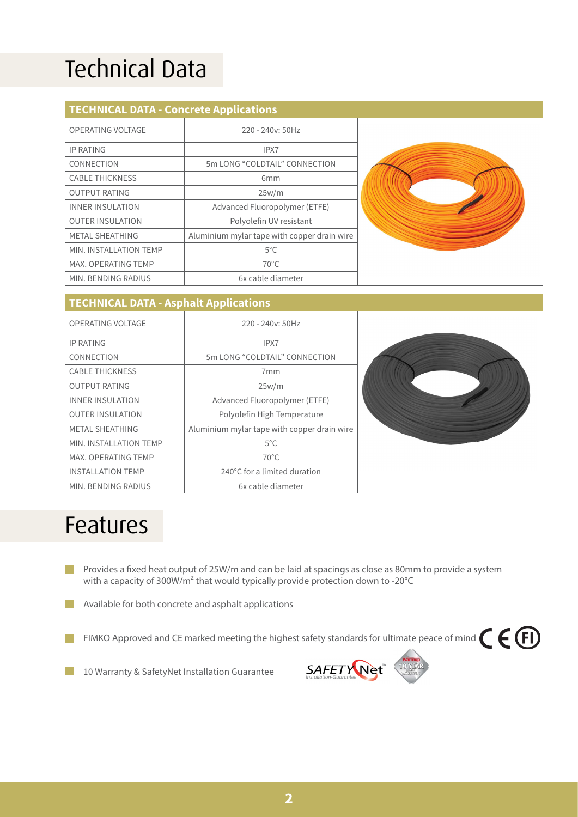# Technical Data

#### **TECHNICAL DATA - Concrete Applications**

| OPERATING VOLTAGE       | $220 - 240y$ : 50Hz                         |  |  |
|-------------------------|---------------------------------------------|--|--|
| <b>IP RATING</b>        | IPX7                                        |  |  |
| CONNECTION              | 5m LONG "COLDTAIL" CONNECTION               |  |  |
| <b>CABLE THICKNESS</b>  | 6 <sub>mm</sub>                             |  |  |
| <b>OUTPUT RATING</b>    | 25w/m                                       |  |  |
| <b>INNER INSULATION</b> | Advanced Fluoropolymer (ETFE)               |  |  |
| <b>OUTER INSULATION</b> | Polyolefin UV resistant                     |  |  |
| <b>METAL SHEATHING</b>  | Aluminium mylar tape with copper drain wire |  |  |
| MIN. INSTALLATION TEMP  | $5^{\circ}$ C                               |  |  |
| MAX, OPERATING TEMP     | $70^{\circ}$ C                              |  |  |
| MIN. BENDING RADIUS     | 6x cable diameter                           |  |  |



#### **TECHNICAL DATA - Asphalt Applications**

| OPERATING VOLTAGE          | 220 - 240y: 50Hz                            |  |
|----------------------------|---------------------------------------------|--|
| <b>IP RATING</b>           | IPX7                                        |  |
| CONNECTION                 | 5m LONG "COLDTAIL" CONNECTION               |  |
| <b>CABLE THICKNESS</b>     | 7 <sub>mm</sub>                             |  |
| <b>OUTPUT RATING</b>       | 25w/m                                       |  |
| <b>INNER INSULATION</b>    | Advanced Fluoropolymer (ETFE)               |  |
| <b>OUTER INSULATION</b>    | Polyolefin High Temperature                 |  |
| METAL SHEATHING            | Aluminium mylar tape with copper drain wire |  |
| MIN. INSTALLATION TEMP     | $5^{\circ}$ C                               |  |
| <b>MAX. OPERATING TEMP</b> | $70^{\circ}$ C                              |  |
| <b>INSTALLATION TEMP</b>   | 240°C for a limited duration                |  |
| MIN. BENDING RADIUS        | 6x cable diameter                           |  |

### Features

Provides a fixed heat output of 25W/m and can be laid at spacings as close as 80mm to provide a system  $\mathcal{L}^{\mathcal{A}}$ with a capacity of 300W/m<sup>2</sup> that would typically provide protection down to -20°C

Available for both concrete and asphalt applications

- FIMKO Approved and CE marked meeting the highest safety standards for ultimate peace of mind  $\epsilon \in \Theta$ **The Co**
- 10 Warranty & SafetyNet Installation Guarantee l I